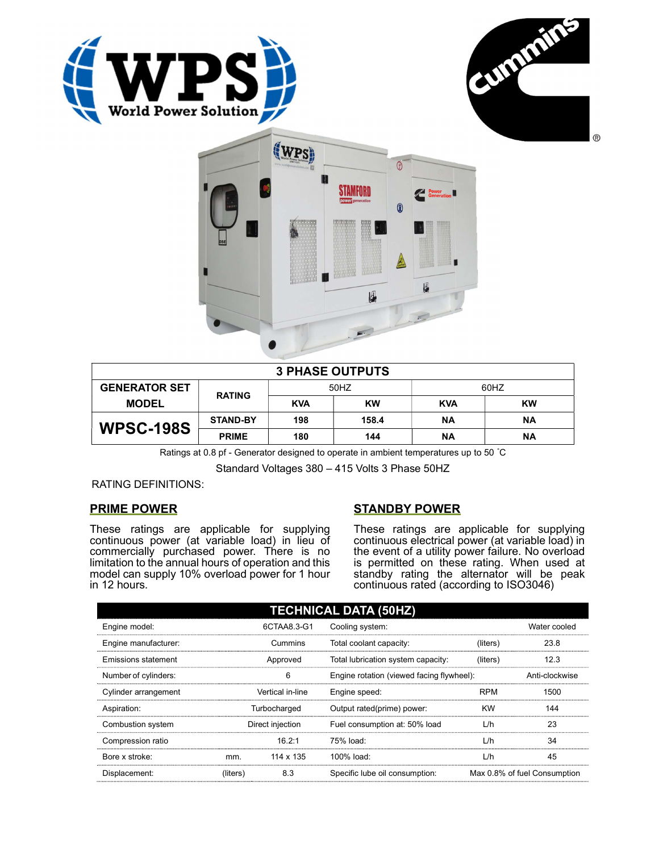





| <b>3 PHASE OUTPUTS</b> |                 |            |           |            |    |  |
|------------------------|-----------------|------------|-----------|------------|----|--|
| <b>GENERATOR SET</b>   | <b>RATING</b>   | 50HZ       |           | 60HZ       |    |  |
| <b>MODEL</b>           |                 | <b>KVA</b> | <b>KW</b> | <b>KVA</b> | KW |  |
| <b>WPSC-198S</b>       | <b>STAND-BY</b> | 198        | 158.4     | ΝA         | ΝA |  |
|                        | <b>PRIME</b>    | 180        | 144       | ΝA         | ΝA |  |

Ratings at 0.8 pf - Generator designed to operate in ambient temperatures up to 50 °C

Standard Voltages 380 – 415 Volts 3 Phase 50HZ

RATING DEFINITIONS:

# PRIME POWER

These ratings are applicable for supplying continuous power (at variable load) in lieu of commercially purchased power. There is no limitation to the annual hours of operation and this model can supply 10% overload power for 1 hour in 12 hours.

# STANDBY POWER

These ratings are applicable for supplying continuous electrical power (at variable load) in the event of a utility power failure. No overload is permitted on these rating. When used at standby rating the alternator will be peak continuous rated (according to ISO3046)

| <b>TECHNICAL DATA (50HZ)</b> |                  |             |                                           |            |                              |  |  |
|------------------------------|------------------|-------------|-------------------------------------------|------------|------------------------------|--|--|
| Engine model:                |                  | 6CTAA8.3-G1 | Cooling system:                           |            | Water cooled                 |  |  |
| Engine manufacturer:         |                  | Cummins     | Total coolant capacity:                   | (liters)   | 23.8                         |  |  |
| Emissions statement          | Approved         |             | Total lubrication system capacity:        | (liters)   | 12.3                         |  |  |
| Number of cylinders:         | 6                |             | Engine rotation (viewed facing flywheel): |            | Anti-clockwise               |  |  |
| Cylinder arrangement         | Vertical in-line |             | Engine speed:                             | <b>RPM</b> | 1500                         |  |  |
| Aspiration:                  | Turbocharged     |             | Output rated(prime) power:                | <b>KW</b>  | 144                          |  |  |
| Combustion system            | Direct injection |             | Fuel consumption at: 50% load             | L/h        | 23                           |  |  |
| Compression ratio            |                  | 16.2:1      | 75% load:                                 | L/h        | 34                           |  |  |
| Bore x stroke:               | mm.              | 114 x 135   | $100\%$ load:                             | L/h        | 45                           |  |  |
| Displacement:                | (liters)         | 8.3         | Specific lube oil consumption:            |            | Max 0.8% of fuel Consumption |  |  |